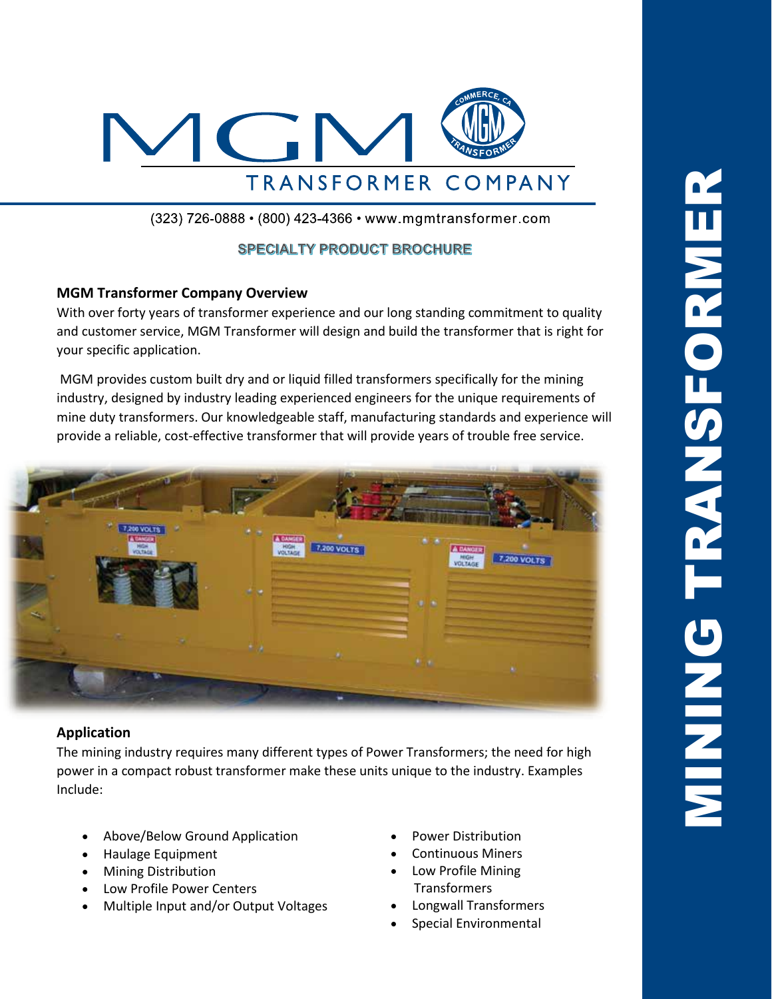

(323) 726-0888 • (800) 423-4366 • www.mgmtransformer.com

## **SPECIALTY PRODUCT BROCHURE**

### **MGM Transformer Company Overview**

With over forty years of transformer experience and our long standing commitment to quality and customer service, MGM Transformer will design and build the transformer that is right for your specific application.

MGM provides custom built dry and or liquid filled transformers specifically for the mining industry, designed by industry leading experienced engineers for the unique requirements of mine duty transformers. Our knowledgeable staff, manufacturing standards and experience will provide a reliable, cost-effective transformer that will provide years of trouble free service.



### **Application**

The mining industry requires many different types of Power Transformers; the need for high power in a compact robust transformer make these units unique to the industry. Examples Include:

- Above/Below Ground Application
- Haulage Equipment
- Mining Distribution
- Low Profile Power Centers
- Multiple Input and/or Output Voltages
- Power Distribution
- Continuous Miners
- Low Profile Mining Transformers
- Longwall Transformers
- Special Environmental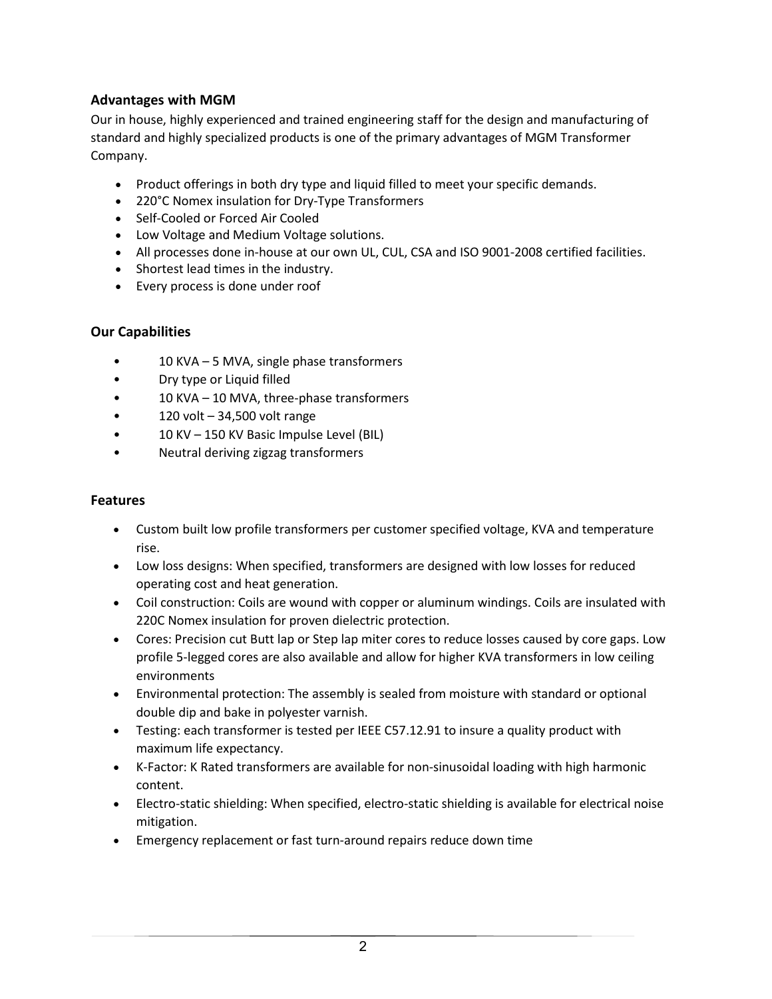# **Advantages with MGM**

Our in house, highly experienced and trained engineering staff for the design and manufacturing of standard and highly specialized products is one of the primary advantages of MGM Transformer Company.

- Product offerings in both dry type and liquid filled to meet your specific demands.
- 220°C Nomex insulation for Dry-Type Transformers
- Self-Cooled or Forced Air Cooled
- Low Voltage and Medium Voltage solutions.
- All processes done in-house at our own UL, CUL, CSA and ISO 9001-2008 certified facilities.
- Shortest lead times in the industry.
- Every process is done under roof

# **Our Capabilities**

- 10 KVA 5 MVA, single phase transformers
- Dry type or Liquid filled
- 10 KVA 10 MVA, three-phase transformers
- 120 volt 34,500 volt range
- 10 KV 150 KV Basic Impulse Level (BIL)
- Neutral deriving zigzag transformers

## **Features**

- Custom built low profile transformers per customer specified voltage, KVA and temperature rise.
- Low loss designs: When specified, transformers are designed with low losses for reduced operating cost and heat generation.
- Coil construction: Coils are wound with copper or aluminum windings. Coils are insulated with 220C Nomex insulation for proven dielectric protection.
- Cores: Precision cut Butt lap or Step lap miter cores to reduce losses caused by core gaps. Low profile 5-legged cores are also available and allow for higher KVA transformers in low ceiling environments
- Environmental protection: The assembly is sealed from moisture with standard or optional double dip and bake in polyester varnish.
- Testing: each transformer is tested per IEEE C57.12.91 to insure a quality product with maximum life expectancy.
- K-Factor: K Rated transformers are available for non-sinusoidal loading with high harmonic content.
- Electro-static shielding: When specified, electro-static shielding is available for electrical noise mitigation.
- Emergency replacement or fast turn-around repairs reduce down time

2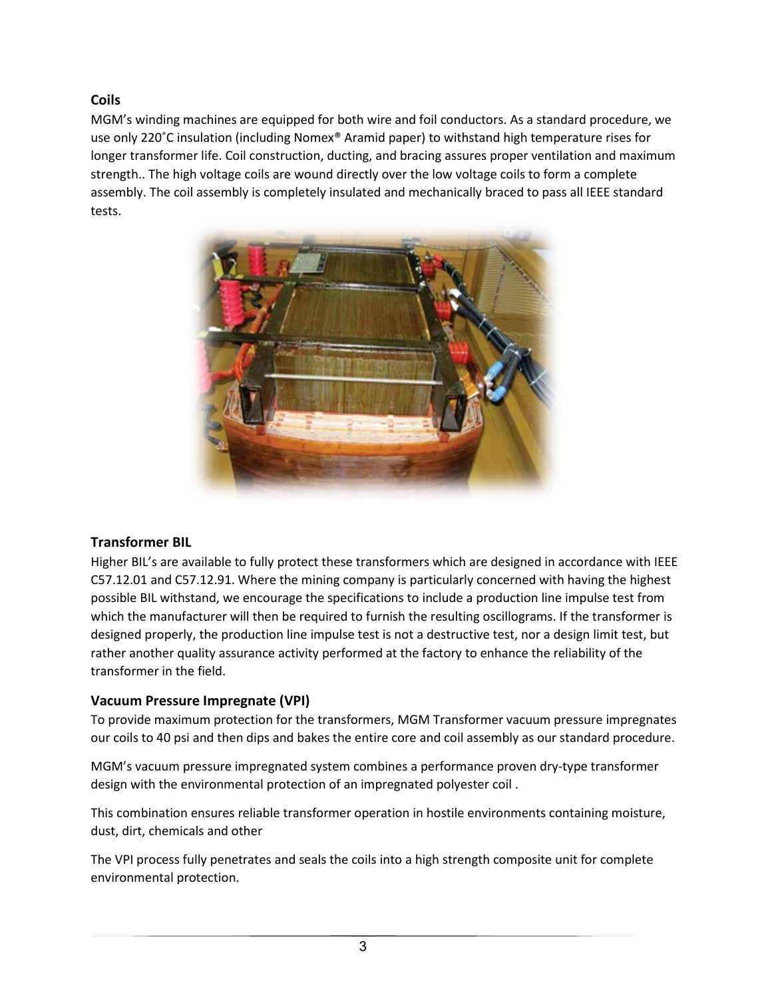**Coils**

MGM's winding machines are equipped for both wire and foil conductors. As a standard procedure, we use only 220˚C insulation (including Nomex® Aramid paper) to withstand high temperature rises for longer transformer life. Coil construction, ducting, and bracing assures proper ventilation and maximum strength.. The high voltage coils are wound directly over the low voltage coils to form a complete assembly. The coil assembly is completely insulated and mechanically braced to pass all IEEE standard tests.



## **Transformer BIL**

Higher BIL's are available to fully protect these transformers which are designed in accordance with IEEE C57.12.01 and C57.12.91. Where the mining company is particularly concerned with having the highest possible BIL withstand, we encourage the specifications to include a production line impulse test from which the manufacturer will then be required to furnish the resulting oscillograms. If the transformer is designed properly, the production line impulse test is not a destructive test, nor a design limit test, but rather another quality assurance activity performed at the factory to enhance the reliability of the transformer in the field.

# **Vacuum Pressure Impregnate (VPI)**

To provide maximum protection for the transformers, MGM Transformer vacuum pressure impregnates our coils to 40 psi and then dips and bakes the entire core and coil assembly as our standard procedure.

MGM's vacuum pressure impregnated system combines a performance proven dry-type transformer design with the environmental protection of an impregnated polyester coil .

This combination ensures reliable transformer operation in hostile environments containing moisture, dust, dirt, chemicals and other

The VPI process fully penetrates and seals the coils into a high strength composite unit for complete environmental protection.

3